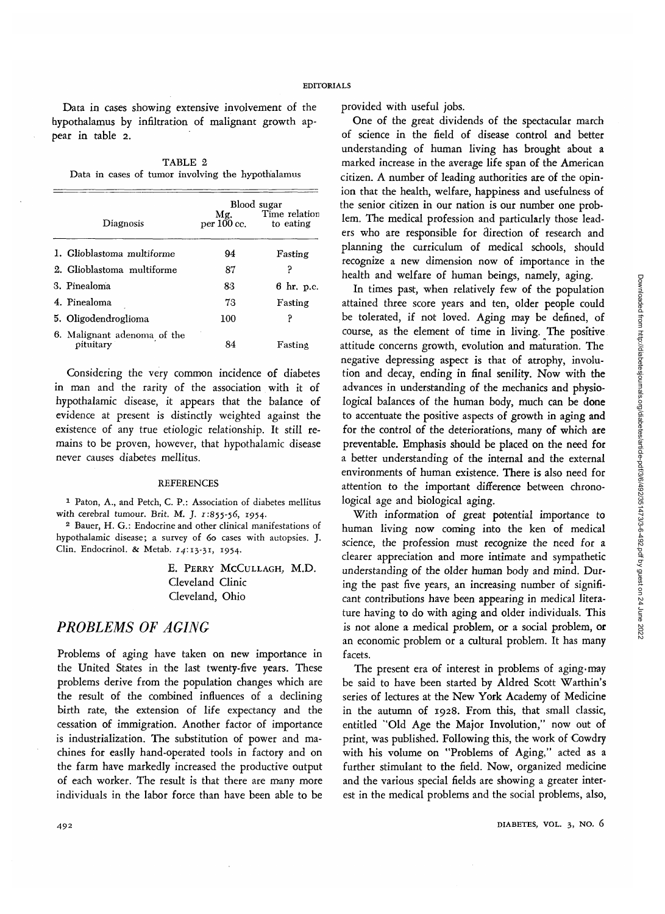Data in cases showing extensive involvement of the hypothalamus by infiltration of malignant growth appear in table 2.

TABLE 2 Data in cases of tumor involving the hypothalamus

|                                          | Blood sugar        |                            |
|------------------------------------------|--------------------|----------------------------|
| Diagnosis                                | Mg.<br>per 100 cc. | Time relation<br>to eating |
| 1. Glioblastoma multiforme               | 94                 | Fasting                    |
| 2. Glioblastoma multiforme               | 87                 | Ρ                          |
| 3. Pinealoma                             | 83                 | 6 hr. p.c.                 |
| 4. Pinealoma                             | 73                 | Fasting                    |
| 5. Oligodendroglioma                     | 100                |                            |
| 6. Malignant adenoma of the<br>pituitary | 84                 | Fasting                    |

Considering the very common incidence of diabetes in man and the rarity of the association with it of hypothalamic disease, it appears that the balance of evidence at present is distinctly weighted against the existence of any true etiologic relationship. It still remains to be proven, however, that hypothalamic disease never causes diabetes mellitus.

## **REFERENCES**

1 Paton, A., and Petch, C. P.: Association of diabetes mellitus with cerebral tumour. Brit. M. J. 1:855-56, 1954.

 Bauer, H. G.: Endocrine and other clinical manifestations of hypothalamic disease; a survey of 60 cases with autopsies. J. Clin. Endocrinol. & Metab. 14:13-31, 1954.

> E. PERRY MCCULLAGH, M.D. Cleveland Clinic Cleveland, Ohio

## *PROBLEMS OF AGING*

Problems of aging have taken on new importance in the United States in the last twenty-five years. These problems derive from the population changes which are the result of the combined influences of a declining birth rate, the extension of life expectancy and the cessation of immigration. Another factor of importance is industrialization. The substitution of power and machines for easily hand-operated tools in factory and on the farm have markedly increased the productive output of each worker. The result is that there are many more individuals in the labor force than have been able to be

provided with useful jobs.

One of the great dividends of the spectacular march of science in the field of disease control and better understanding of human living has brought about a marked increase in the average life span of the American citizen. A number of leading authorities are of the opinion that the health, welfare, happiness and usefulness of the senior citizen in our nation is our number one problem. The medical profession and particularly those leaders who are responsible for direction of research and planning the curriculum of medical schools, should recognize a new dimension now of importance in the health and welfare of human beings, namely, aging.

In times past, when relatively few of the population attained three score years and ten, older people could be tolerated, if not loved. Aging may be defined, of course, as the element of time in living. The positive attitude concerns growth, evolution and maturation. The negative depressing aspect is that of atrophy, involution and decay, ending in final senility. Now with the advances in understanding of the mechanics and physiological balances of the human body, much can be done to accentuate the positive aspects of growth in aging and for the control of the deteriorations, many of which are preventable. Emphasis should be placed on the need for a better understanding of the internal and the external environments of human existence. There is also need for attention to the important difference between chronological age and biological aging.

With information of great potential importance to human living now coming into the ken of medical science, the profession must recognize the need for a clearer appreciation and more intimate and sympathetic understanding of the older human body and mind. During the past five years, an increasing number of significant contributions have been appearing in medical literature having to do with aging and older individuals. This is not alone a medical problem, or a social problem, or an economic problem or a cultural problem. It has many facets.

The present era of interest in problems of aging  $m$ ay be said to have been started by Aldred Scott Warthin's series of lectures at the New York Academy of Medicine in the autumn of 1928. From this, that small classic, entitled "Old Age the Major Involution," now out of print, was published. Following this, the work of Cowdry with his volume on "Problems of Aging," acted as a further stimulant to the field. Now, organized medicine and the various special fields are showing a greater interest in the medical problems and the social problems, also,